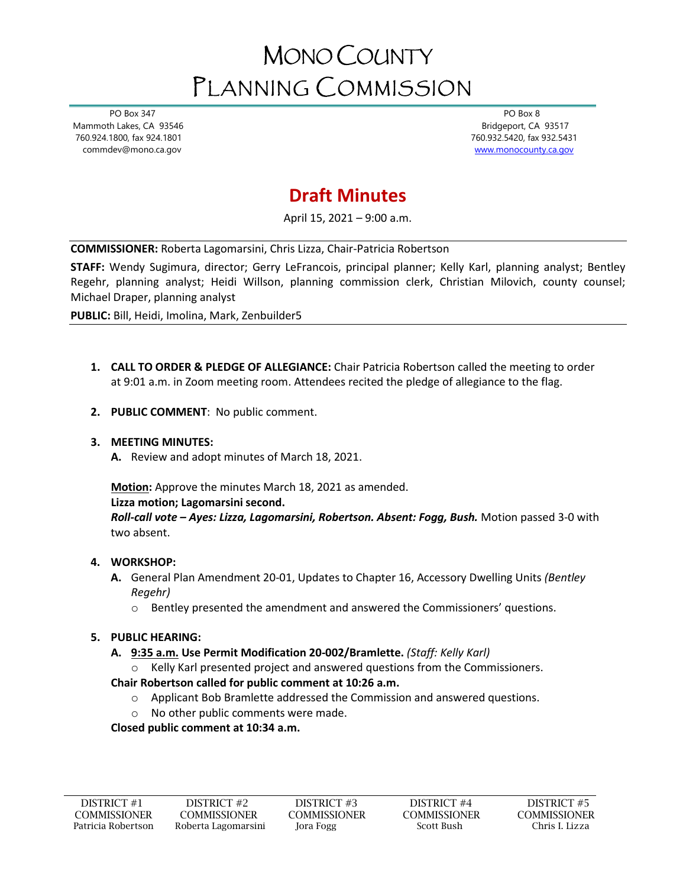# MONO COUNTY PLANNING COMMISSION

 PO Box 347 Mammoth Lakes, CA 93546 760.924.1800, fax 924.1801 commdev@mono.ca.gov

 PO Box 8 Bridgeport, CA 93517 760.932.5420, fax 932.5431 [www.monocounty.ca.gov](http://www.monocounty.ca.gov/) 

# **Draft Minutes**

April 15, 2021 – 9:00 a.m.

**COMMISSIONER:** Roberta Lagomarsini, Chris Lizza, Chair-Patricia Robertson

**STAFF:** Wendy Sugimura, director; Gerry LeFrancois, principal planner; Kelly Karl, planning analyst; Bentley Regehr, planning analyst; Heidi Willson, planning commission clerk, Christian Milovich, county counsel; Michael Draper, planning analyst

**PUBLIC:** Bill, Heidi, Imolina, Mark, Zenbuilder5

- **1. CALL TO ORDER & PLEDGE OF ALLEGIANCE:** Chair Patricia Robertson called the meeting to order at 9:01 a.m. in Zoom meeting room. Attendees recited the pledge of allegiance to the flag.
- **2. PUBLIC COMMENT**: No public comment.

# **3. MEETING MINUTES:**

**A.** Review and adopt minutes of March 18, 2021.

**Motion:** Approve the minutes March 18, 2021 as amended.

#### **Lizza motion; Lagomarsini second.**

*Roll-call vote – Ayes: Lizza, Lagomarsini, Robertson. Absent: Fogg, Bush.* Motion passed 3-0 with two absent.

# **4. WORKSHOP:**

- **A.** General Plan Amendment 20-01, Updates to Chapter 16, Accessory Dwelling Units *(Bentley Regehr)*
	- o Bentley presented the amendment and answered the Commissioners' questions.

# **5. PUBLIC HEARING:**

- **A. 9:35 a.m. Use Permit Modification 20-002/Bramlette.** *(Staff: Kelly Karl)*
	- $\circ$  Kelly Karl presented project and answered questions from the Commissioners.

# **Chair Robertson called for public comment at 10:26 a.m.**

- $\circ$  Applicant Bob Bramlette addressed the Commission and answered questions.
- o No other public comments were made.

**Closed public comment at 10:34 a.m.**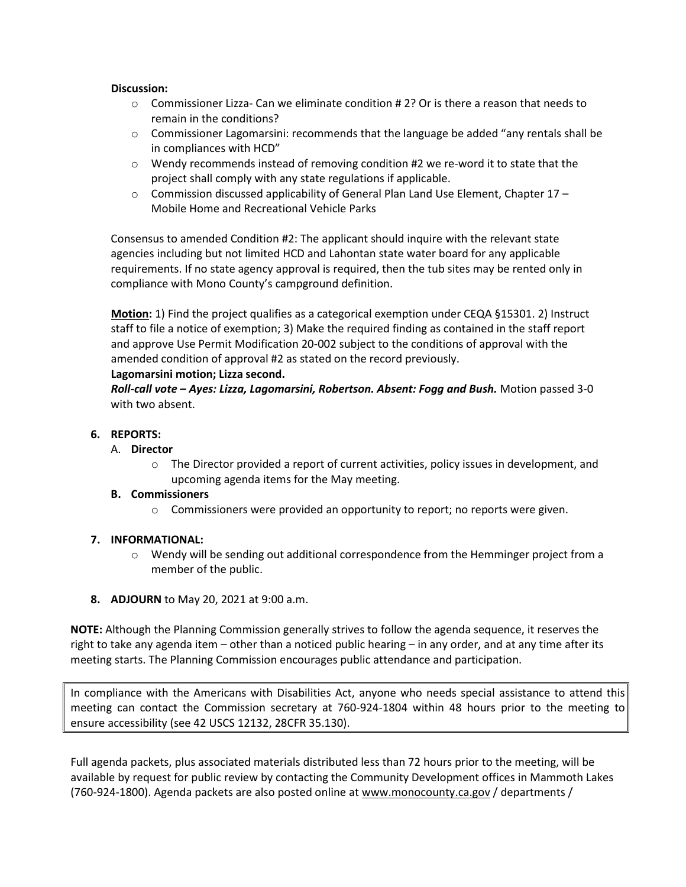#### **Discussion:**

- $\circ$  Commissioner Lizza- Can we eliminate condition # 2? Or is there a reason that needs to remain in the conditions?
- o Commissioner Lagomarsini: recommends that the language be added "any rentals shall be in compliances with HCD"
- o Wendy recommends instead of removing condition #2 we re-word it to state that the project shall comply with any state regulations if applicable.
- $\circ$  Commission discussed applicability of General Plan Land Use Element, Chapter 17 Mobile Home and Recreational Vehicle Parks

Consensus to amended Condition #2: The applicant should inquire with the relevant state agencies including but not limited HCD and Lahontan state water board for any applicable requirements. If no state agency approval is required, then the tub sites may be rented only in compliance with Mono County's campground definition.

**Motion:** 1) Find the project qualifies as a categorical exemption under CEQA §15301. 2) Instruct staff to file a notice of exemption; 3) Make the required finding as contained in the staff report and approve Use Permit Modification 20-002 subject to the conditions of approval with the amended condition of approval #2 as stated on the record previously.

#### **Lagomarsini motion; Lizza second.**

*Roll-call vote – Ayes: Lizza, Lagomarsini, Robertson. Absent: Fogg and Bush.* Motion passed 3-0 with two absent.

#### **6. REPORTS:**

#### A. **Director**

 $\circ$  The Director provided a report of current activities, policy issues in development, and upcoming agenda items for the May meeting.

#### **B. Commissioners**

o Commissioners were provided an opportunity to report; no reports were given.

#### **7. INFORMATIONAL:**

- o Wendy will be sending out additional correspondence from the Hemminger project from a member of the public.
- **8. ADJOURN** to May 20, 2021 at 9:00 a.m.

**NOTE:** Although the Planning Commission generally strives to follow the agenda sequence, it reserves the right to take any agenda item – other than a noticed public hearing – in any order, and at any time after its meeting starts. The Planning Commission encourages public attendance and participation.

In compliance with the Americans with Disabilities Act, anyone who needs special assistance to attend this meeting can contact the Commission secretary at 760-924-1804 within 48 hours prior to the meeting to ensure accessibility (see 42 USCS 12132, 28CFR 35.130).

Full agenda packets, plus associated materials distributed less than 72 hours prior to the meeting, will be available by request for public review by contacting the Community Development offices in Mammoth Lakes (760-924-1800). Agenda packets are also posted online at [www.monocounty.ca.gov](http://www.monocounty.ca.gov/) / departments /